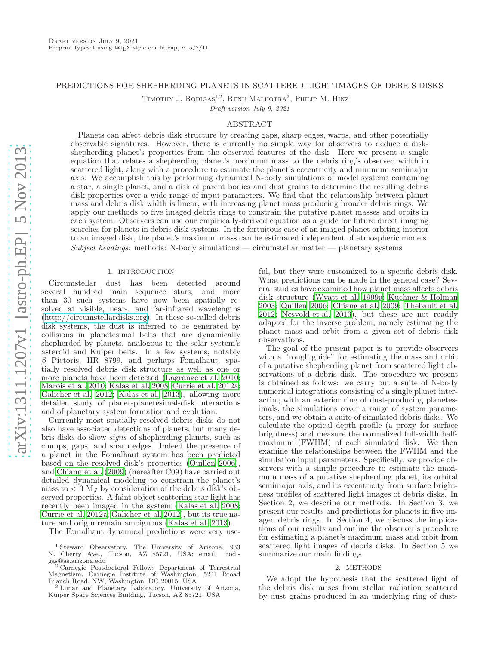## PREDICTIONS FOR SHEPHERDING PLANETS IN SCATTERED LIGHT IMAGES OF DEBRIS DISKS

TIMOTHY J. RODIGAS<sup>1,2</sup>, RENU MALHOTRA<sup>3</sup>, PHILIP M. HINZ<sup>1</sup>

Draft version July 9, 2021

## ABSTRACT

Planets can affect debris disk structure by creating gaps, sharp edges, warps, and other potentially observable signatures. However, there is currently no simple way for observers to deduce a diskshepherding planet's properties from the observed features of the disk. Here we present a single equation that relates a shepherding planet's maximum mass to the debris ring's observed width in scattered light, along with a procedure to estimate the planet's eccentricity and minimum semimajor axis. We accomplish this by performing dynamical N-body simulations of model systems containing a star, a single planet, and a disk of parent bodies and dust grains to determine the resulting debris disk properties over a wide range of input parameters. We find that the relationship between planet mass and debris disk width is linear, with increasing planet mass producing broader debris rings. We apply our methods to five imaged debris rings to constrain the putative planet masses and orbits in each system. Observers can use our empirically-derived equation as a guide for future direct imaging searches for planets in debris disk systems. In the fortuitous case of an imaged planet orbiting interior to an imaged disk, the planet's maximum mass can be estimated independent of atmospheric models.  $Subject \, headings:$  methods: N-body simulations — circumstellar matter — planetary systems

### 1. INTRODUCTION

Circumstellar dust has been detected around several hundred main sequence stars, and more than 30 such systems have now been spatially resolved at visible, near-, and far-infrared wavelengths [\(http://circumstellardisks.org\)](http://circumstellardisks.org). In these so-called debris disk systems, the dust is inferred to be generated by collisions in planetesimal belts that are dynamically shepherded by planets, analogous to the solar system's asteroid and Kuiper belts. In a few systems, notably  $\beta$  Pictoris, HR 8799, and perhaps Fomalhaut, spatially resolved debris disk structure as well as one or more planets have been detected [\(Lagrange et al. 2010;](#page-9-0) [Marois et al. 2010;](#page-9-1) [Kalas et al. 2008;](#page-9-2) [Currie et al. 2012a;](#page-9-3) [Galicher et al. 2012;](#page-9-4) [Kalas et al. 2013\)](#page-9-5), allowing more detailed study of planet-planetesimal-disk interactions and of planetary system formation and evolution.

Currently most spatially-resolved debris disks do not also have associated detections of planets, but many debris disks do show signs of shepherding planets, such as clumps, gaps, and sharp edges. Indeed the presence of a planet in the Fomalhaut system has been predicted based on the resolved disk's properties [\(Quillen 2006\)](#page-9-6), and [Chiang et al. \(2009\)](#page-9-7) (hereafter C09) have carried out detailed dynamical modeling to constrain the planet's mass to  $< 3$  M<sub>J</sub> by consideration of the debris disk's observed properties. A faint object scattering star light has recently been imaged in the system [\(Kalas et al. 2008;](#page-9-2) [Currie et al. 2012a;](#page-9-3) [Galicher et al. 2012](#page-9-4)), but its true nature and origin remain ambiguous [\(Kalas et al. 2013](#page-9-5)).

The Fomalhaut dynamical predictions were very use-

ful, but they were customized to a specific debris disk. What predictions can be made in the general case? Several studies have examined how planet mass affects debris disk structure [\(Wyatt et al. 1999a;](#page-9-8) [Kuchner & Holman](#page-9-9) [2003;](#page-9-9) [Quillen 2006;](#page-9-6) [Chiang et al. 2009](#page-9-7); [Thebault et al.](#page-9-10) [2012;](#page-9-10) [Nesvold et al. 2013\)](#page-9-11), but these are not readily adapted for the inverse problem, namely estimating the planet mass and orbit from a given set of debris disk observations.

The goal of the present paper is to provide observers with a "rough guide" for estimating the mass and orbit of a putative shepherding planet from scattered light observations of a debris disk. The procedure we present is obtained as follows: we carry out a suite of N-body numerical integrations consisting of a single planet interacting with an exterior ring of dust-producing planetesimals; the simulations cover a range of system parameters, and we obtain a suite of simulated debris disks. We calculate the optical depth profile (a proxy for surface brightness) and measure the normalized full-width halfmaximum (FWHM) of each simulated disk. We then examine the relationships between the FWHM and the simulation input parameters. Specifically, we provide observers with a simple procedure to estimate the maximum mass of a putative shepherding planet, its orbital semimajor axis, and its eccentricity from surface brightness profiles of scattered light images of debris disks. In Section 2, we describe our methods. In Section 3, we present our results and predictions for planets in five imaged debris rings. In Section 4, we discuss the implications of our results and outline the observer's procedure for estimating a planet's maximum mass and orbit from scattered light images of debris disks. In Section 5 we summarize our main findings.

### 2. METHODS

We adopt the hypothesis that the scattered light of the debris disk arises from stellar radiation scattered by dust grains produced in an underlying ring of dust-

<sup>&</sup>lt;sup>1</sup> Steward Observatory, The University of Arizona, 933<br>Cherry Ave., Tucson, AZ 85721, USA; email: rodi-N. Cherry Ave., Tucson, AZ 85721, USA; email: gas@as.arizona.edu

<sup>2</sup> Carnegie Postdoctoral Fellow; Department of Terrestrial Magnetism, Carnegie Institute of Washington, 5241 Broad Branch Road, NW, Washington, DC 20015, USA <sup>3</sup> Lunar and Planetary Laboratory, University of Arizona,

Kuiper Space Sciences Building, Tucson, AZ 85721, USA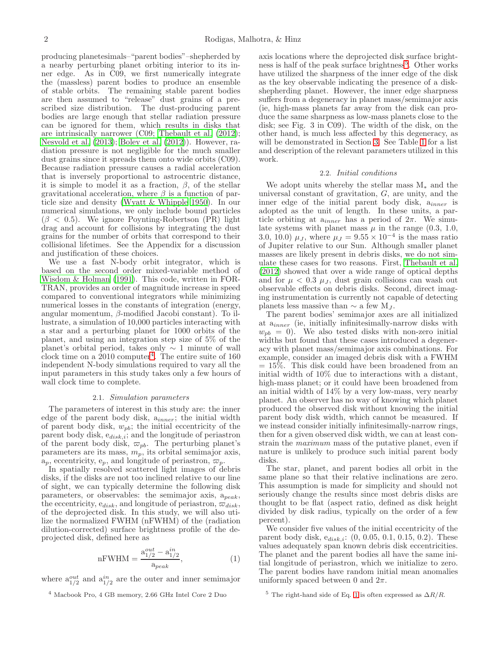producing planetesimals–"parent bodies"–shepherded by a nearby perturbing planet orbiting interior to its inner edge. As in C09, we first numerically integrate the (massless) parent bodies to produce an ensemble of stable orbits. The remaining stable parent bodies are then assumed to "release" dust grains of a prescribed size distribution. The dust-producing parent bodies are large enough that stellar radiation pressure can be ignored for them, which results in disks that are intrinsically narrower (C09; [Thebault et al. \(2012\)](#page-9-10); [Nesvold et al. \(2013\)](#page-9-11); [Boley et al. \(2012\)](#page-9-12)). However, radiation pressure is not negligible for the much smaller dust grains since it spreads them onto wide orbits (C09). Because radiation pressure causes a radial acceleration that is inversely proportional to astrocentric distance, it is simple to model it as a fraction,  $\beta$ , of the stellar gravitational acceleration, where  $\beta$  is a function of particle size and density [\(Wyatt & Whipple 1950\)](#page-9-13). In our numerical simulations, we only include bound particles  $(\beta \, < 0.5)$ . We ignore Poynting-Robertson (PR) light drag and account for collisions by integrating the dust grains for the number of orbits that correspond to their collisional lifetimes. See the Appendix for a discussion and justification of these choices.

We use a fast N-body orbit integrator, which is based on the second order mixed-variable method of [Wisdom & Holman \(1991](#page-9-14)). This code, written in FOR-TRAN, provides an order of magnitude increase in speed compared to conventional integrators while minimizing numerical losses in the constants of integration (energy, angular momentum, β-modified Jacobi constant). To illustrate, a simulation of 10,000 particles interacting with a star and a perturbing planet for 1000 orbits of the planet, and using an integration step size of 5% of the planet's orbital period, takes only ∼ 1 minute of wall clock time on a  $2010$  computer<sup>[4](#page-1-0)</sup>. The entire suite of 160 independent N-body simulations required to vary all the input parameters in this study takes only a few hours of wall clock time to complete.

### 2.1. Simulation parameters

The parameters of interest in this study are: the inner edge of the parent body disk,  $a_{inner}$ ; the initial width of parent body disk,  $w_{pb}$ ; the initial eccentricity of the parent body disk,  $e_{disk,i}$ ; and the longitude of periastron of the parent body disk,  $\varpi_{pb}$ . The perturbing planet's parameters are its mass,  $m_p$ , its orbital semimajor axis,  $a_p$ , eccentricity,  $e_p$ , and longitude of periastron,  $\varpi_p$ .

In spatially resolved scattered light images of debris disks, if the disks are not too inclined relative to our line of sight, we can typically determine the following disk parameters, or observables: the semimajor axis,  $a_{peak}$ , the eccentricity,  $e_{disk}$ , and longitude of periastron,  $\varpi_{disk}$ , of the deprojected disk. In this study, we will also utilize the normalized FWHM (nFWHM) of the (radiation dilution-corrected) surface brightness profile of the deprojected disk, defined here as

<span id="page-1-2"></span>
$$
nFWHM = \frac{a_{1/2}^{out} - a_{1/2}^{in}}{a_{peak}},
$$
 (1)

where  $a_{1/2}^{out}$  and  $a_{1/2}^{in}$  are the outer and inner semimajor

<span id="page-1-0"></span><sup>4</sup> Macbook Pro, 4 GB memory, 2.66 GHz Intel Core 2 Duo

axis locations where the deprojected disk surface bright-ness is half of the peak surface brightness<sup>[5](#page-1-1)</sup>. Other works have utilized the sharpness of the inner edge of the disk as the key observable indicating the presence of a diskshepherding planet. However, the inner edge sharpness suffers from a degeneracy in planet mass/semimajor axis (ie, high-mass planets far away from the disk can produce the same sharpness as low-mass planets close to the disk; see Fig. 3 in C09). The width of the disk, on the other hand, is much less affected by this degeneracy, as will be demonstrated in Section [3.](#page-4-0) See Table [1](#page-2-0) for a list and description of the relevant parameters utilized in this work.

## 2.2. Initial conditions

We adopt units whereby the stellar mass M<sup>∗</sup> and the universal constant of gravitation,  $G$ , are unity, and the inner edge of the initial parent body disk,  $a_{inner}$  is adopted as the unit of length. In these units, a particle orbiting at  $a_{inner}$  has a period of  $2\pi$ . We simulate systems with planet mass  $\mu$  in the range (0.3, 1.0, 3.0, 10.0)  $\mu_J$ , where  $\mu_J = 9.55 \times 10^{-4}$  is the mass ratio of Jupiter relative to our Sun. Although smaller planet masses are likely present in debris disks, we do not simulate these cases for two reasons. First, [Thebault et al.](#page-9-10) [\(2012\)](#page-9-10) showed that over a wide range of optical depths and for  $\mu$  < 0.3  $\mu$ <sub>J</sub>, dust grain collisions can wash out observable effects on debris disks. Second, direct imaging instrumentation is currently not capable of detecting planets less massive than  $\sim$  a few M<sub>J</sub>.

The parent bodies' semimajor axes are all initialized at  $a_{inner}$  (ie, initially infinitesimally-narrow disks with  $w_{pb} = 0$ ). We also tested disks with non-zero initial widths but found that these cases introduced a degeneracy with planet mass/semimajor axis combinations. For example, consider an imaged debris disk with a FWHM  $= 15\%$ . This disk could have been broadened from an initial width of 10% due to interactions with a distant, high-mass planet; or it could have been broadened from an initial width of 14% by a very low-mass, very nearby planet. An observer has no way of knowing which planet produced the observed disk without knowing the initial parent body disk width, which cannot be measured. If we instead consider initially infinitesimally-narrow rings, then for a given observed disk width, we can at least constrain the maximum mass of the putative planet, even if nature is unlikely to produce such initial parent body disks.

The star, planet, and parent bodies all orbit in the same plane so that their relative inclinations are zero. This assumption is made for simplicity and should not seriously change the results since most debris disks are thought to be flat (aspect ratio, defined as disk height divided by disk radius, typically on the order of a few percent).

We consider five values of the initial eccentricity of the parent body disk,  $e_{disk,i}: (0, 0.05, 0.1, 0.15, 0.2)$ . These values adequately span known debris disk eccentricities. The planet and the parent bodies all have the same initial longitude of periastron, which we initialize to zero. The parent bodies have random initial mean anomalies uniformly spaced between 0 and  $2\pi$ .

<span id="page-1-1"></span><sup>&</sup>lt;sup>5</sup> The right-hand side of Eq. [1](#page-1-2) is often expressed as  $\Delta R/R$ .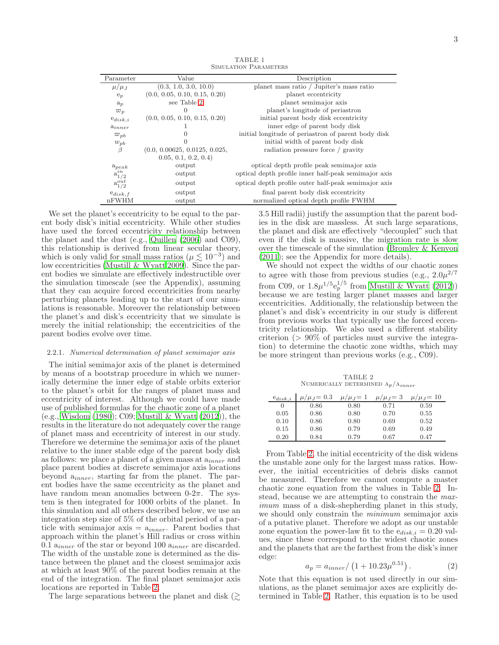TABLE 1 Simulation Parameters

<span id="page-2-0"></span>

| Parameter       | Value                         | Description                                          |  |  |
|-----------------|-------------------------------|------------------------------------------------------|--|--|
| $\mu/\mu_J$     | (0.3, 1.0, 3.0, 10.0)         | planet mass ratio / Jupiter's mass ratio             |  |  |
| $e_p$           | (0.0, 0.05, 0.10, 0.15, 0.20) | planet eccentricity                                  |  |  |
| $a_p$           | see Table 2                   | planet semimajor axis                                |  |  |
| $\varpi_p$      | $^{(1)}$                      | planet's longitude of periastron                     |  |  |
| $e_{disk,i}$    | (0.0, 0.05, 0.10, 0.15, 0.20) | initial parent body disk eccentricity                |  |  |
| $a_{inner}$     |                               | inner edge of parent body disk                       |  |  |
| $\varpi_{pb}$   |                               | initial longitude of periastron of parent body disk  |  |  |
| $w_{pb}$        |                               | initial width of parent body disk                    |  |  |
| $\beta$         | (0.0, 0.00625, 0.0125, 0.025, | radiation pressure force / gravity                   |  |  |
|                 | 0.05, 0.1, 0.2, 0.4)          |                                                      |  |  |
| $a_{peak}$      | output                        | optical depth profile peak semimajor axis            |  |  |
| $a_{1/2}^{in}$  | output                        | optical depth profile inner half-peak semimajor axis |  |  |
| $a_{1/2}^{out}$ | output                        | optical depth profile outer half-peak semimajor axis |  |  |
| $e_{disk,f}$    | output                        | final parent body disk eccentricity                  |  |  |
| nFWHM           | output                        | normalized optical depth profile FWHM                |  |  |

We set the planet's eccentricity to be equal to the parent body disk's initial eccentricity. While other studies have used the forced eccentricity relationship between the planet and the dust (e.g., [Quillen \(2006\)](#page-9-6) and C09), this relationship is derived from linear secular theory, which is only valid for small mass ratios ( $\mu \lesssim 10^{-3}$ ) and low eccentricities [\(Mustill & Wyatt 2009](#page-9-15)). Since the parent bodies we simulate are effectively indestructible over the simulation timescale (see the Appendix), assuming that they can acquire forced eccentricities from nearby perturbing planets leading up to the start of our simulations is reasonable. Moreover the relationship between the planet's and disk's eccentricity that we simulate is merely the initial relationship; the eccentricities of the parent bodies evolve over time.

### 2.2.1. Numerical determination of planet semimajor axis

The initial semimajor axis of the planet is determined by means of a bootstrap procedure in which we numerically determine the inner edge of stable orbits exterior to the planet's orbit for the ranges of planet mass and eccentricity of interest. Although we could have made use of published formulas for the chaotic zone of a planet (e.g., [Wisdom \(1980\)](#page-9-16); C09; [Mustill & Wyatt \(2012](#page-9-17))), the results in the literature do not adequately cover the range of planet mass and eccentricity of interest in our study. Therefore we determine the semimajor axis of the planet relative to the inner stable edge of the parent body disk as follows: we place a planet of a given mass at  $a_{inner}$  and place parent bodies at discrete semimajor axis locations beyond ainner, starting far from the planet. The parent bodies have the same eccentricity as the planet and have random mean anomalies between  $0-2\pi$ . The system is then integrated for 1000 orbits of the planet. In this simulation and all others described below, we use an integration step size of 5% of the orbital period of a particle with semimajor axis  $= a_{inner}$ . Parent bodies that approach within the planet's Hill radius or cross within 0.1  $a_{inner}$  of the star or beyond 100  $a_{inner}$  are discarded. The width of the unstable zone is determined as the distance between the planet and the closest semimajor axis at which at least 90% of the parent bodies remain at the end of the integration. The final planet semimajor axis locations are reported in Table [2.](#page-2-1)

The large separations between the planet and disk  $(\gtrsim$ 

3.5 Hill radii) justify the assumption that the parent bodies in the disk are massless. At such large separations, the planet and disk are effectively "decoupled" such that even if the disk is massive, the migration rate is slow over the timescale of the simulation [\(Bromley & Kenyon](#page-9-18) [\(2011\)](#page-9-18); see the Appendix for more details).

We should not expect the widths of our chaotic zones to agree with those from previous studies (e.g.,  $2.0\mu^{2/7}$ from C09, or  $1.8\mu^{1/5}e_p^{1/5}$  from [Mustill & Wyatt \(2012](#page-9-17))) because we are testing larger planet masses and larger eccentricities. Additionally, the relationship between the planet's and disk's eccentricity in our study is different from previous works that typically use the forced eccentricity relationship. We also used a different stability criterion  $(> 90\%$  of particles must survive the integration) to determine the chaotic zone widths, which may be more stringent than previous works (e.g., C09).

TABLE 2 NUMERICALLY DETERMINED  $A_p/A_{inner}$ 

<span id="page-2-1"></span>

| $e_{disk,i}$ | $\mu_{J} = 0.3$ | $\mu_J=1$ | $\mu/\mu_J = 3$ | $\mu_{J} = 10$ |
|--------------|-----------------|-----------|-----------------|----------------|
| O            | 0.86            | 0.80      | 0.71            | 0.59           |
| 0.05         | 0.86            | 0.80      | 0.70            | 0.55           |
| 0.10         | 0.86            | 0.80      | 0.69            | 0.52           |
| 0.15         | 0.86            | 0.79      | 0.69            | 0.49           |
| 0.20         | 0.84            | 0.79      | 0.67            | 0.47           |

From Table [2,](#page-2-1) the initial eccentricity of the disk widens the unstable zone only for the largest mass ratios. However, the initial eccentricities of debris disks cannot be measured. Therefore we cannot compute a master chaotic zone equation from the values in Table [2.](#page-2-1) Instead, because we are attempting to constrain the maximum mass of a disk-shepherding planet in this study, we should only constrain the minimum semimajor axis of a putative planet. Therefore we adopt as our unstable zone equation the power-law fit to the  $e_{disk,i} = 0.20$  values, since these correspond to the widest chaotic zones and the planets that are the farthest from the disk's inner edge:

<span id="page-2-2"></span>
$$
a_p = a_{inner} / (1 + 10.23 \mu^{0.51}). \tag{2}
$$

Note that this equation is not used directly in our simulations, as the planet semimajor axes are explicitly determined in Table [2.](#page-2-1) Rather, this equation is to be used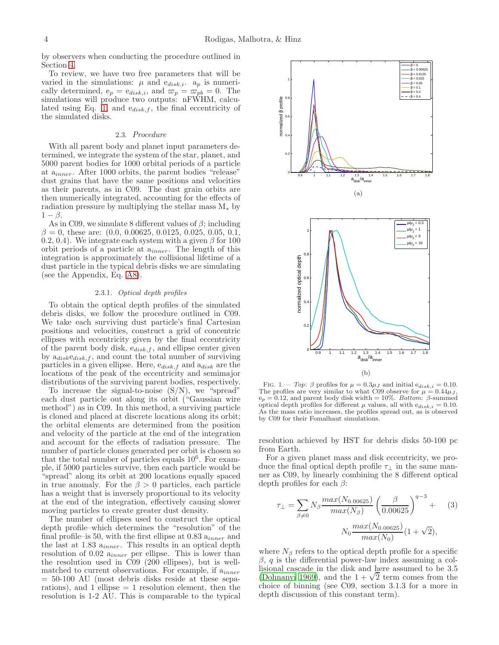by observers when conducting the procedure outlined in Section [4.](#page-6-0)

To review, we have two free parameters that will be varied in the simulations:  $\mu$  and  $e_{disk,i}$ .  $a_p$  is numerically determined,  $e_p = e_{disk,i}$ , and  $\varpi_p = \varpi_{pb} = 0$ . The simulations will produce two outputs: nFWHM, calcu-lated using Eq. [1,](#page-1-2) and  $e_{disk,f}$ , the final eccentricity of the simulated disks.

### 2.3. Procedure

With all parent body and planet input parameters determined, we integrate the system of the star, planet, and 5000 parent bodies for 1000 orbital periods of a particle at ainner. After 1000 orbits, the parent bodies "release" dust grains that have the same positions and velocities as their parents, as in C09. The dust grain orbits are then numerically integrated, accounting for the effects of radiation pressure by multiplying the stellar mass  $M_*$  by  $1 - \beta$ .

As in C09, we simulate 8 different values of  $\beta$ ; including  $\beta = 0$ , these are: (0.0, 0.00625, 0.0125, 0.025, 0.05, 0.1, 0.2, 0.4). We integrate each system with a given  $\beta$  for 100 orbit periods of a particle at  $a_{inner}$ . The length of this integration is approximately the collisional lifetime of a dust particle in the typical debris disks we are simulating (see the Appendix, Eq. [A8\)](#page-8-0).

### 2.3.1. Optical depth profiles

To obtain the optical depth profiles of the simulated debris disks, we follow the procedure outlined in C09. We take each surviving dust particle's final Cartesian positions and velocities, construct a grid of concentric ellipses with eccentricity given by the final eccentricity of the parent body disk,  $e_{disk,f}$ , and ellipse center given by  $a_{disk}e_{disk,f}$ , and count the total number of surviving particles in a given ellipse. Here,  $e_{disk,f}$  and  $a_{disk}$  are the locations of the peak of the eccentricity and semimajor distributions of the surviving parent bodies, respectively.

To increase the signal-to-noise (S/N), we "spread" each dust particle out along its orbit ("Gaussian wire method") as in C09. In this method, a surviving particle is cloned and placed at discrete locations along its orbit; the orbital elements are determined from the position and velocity of the particle at the end of the integration and account for the effects of radiation pressure. The number of particle clones generated per orbit is chosen so that the total number of particles equals 10<sup>6</sup> . For example, if 5000 particles survive, then each particle would be "spread" along its orbit at 200 locations equally spaced in true anomaly. For the  $\beta > 0$  particles, each particle has a weight that is inversely proportional to its velocity at the end of the integration, effectively causing slower moving particles to create greater dust density.

The number of ellipses used to construct the optical depth profile–which determines the "resolution" of the final profile–is 50, with the first ellipse at 0.83  $a_{inner}$  and the last at  $1.83 a_{inner}$ . This results in an optical depth resolution of  $0.02 a_{inner}$  per ellipse. This is lower than the resolution used in C09 (200 ellipses), but is wellmatched to current observations. For example, if  $a_{inner}$  $= 50-100$  AU (most debris disks reside at these separations), and 1 ellipse  $= 1$  resolution element, then the resolution is 1-2 AU. This is comparable to the typical

<span id="page-3-1"></span><span id="page-3-0"></span>

FIG. 1.— Top:  $\beta$  profiles for  $\mu = 0.3\mu_J$  and initial  $e_{disk,i} = 0.10$ . The profiles are very similar to what C09 observe for  $\mu = 0.44 \mu J$ ,  $e_p = 0.12$ , and parent body disk width = 10%. Bottom:  $\beta$ -summed optical depth profiles for different  $\mu$  values, all with  $e_{disk,i} = 0.10$ . As the mass ratio increases, the profiles spread out, as is observed by C09 for their Fomalhaut simulations.

resolution achieved by HST for debris disks 50-100 pc from Earth.

For a given planet mass and disk eccentricity, we produce the final optical depth profile  $\tau_{\perp}$  in the same manner as C09, by linearly combining the 8 different optical depth profiles for each  $\beta$ :

$$
\tau_{\perp} = \sum_{\beta \neq 0} N_{\beta} \frac{max(N_{0.00625})}{max(N_{\beta})} \left(\frac{\beta}{0.00625}\right)^{q-3} + (3)
$$

$$
N_0 \frac{max(N_{0.00625})}{max(N_0)} (1 + \sqrt{2}),
$$

where  $N_{\beta}$  refers to the optical depth profile for a specific  $\beta$ , q is the differential power-law index assuming a collisional cascade in the disk and here assumed to be 3.5 [\(Dohnanyi 1969](#page-9-19)), and the  $1 + \sqrt{2}$  term comes from the choice of binning (see C09, section 3.1.3 for a more in depth discussion of this constant term).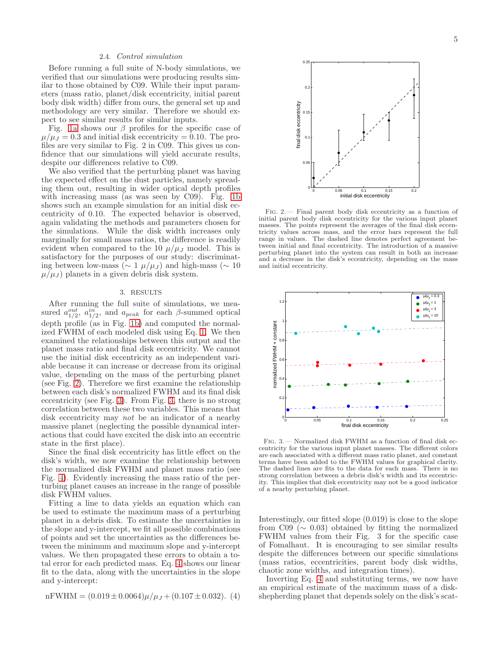# 2.4. Control simulation

Before running a full suite of N-body simulations, we verified that our simulations were producing results similar to those obtained by C09. While their input parameters (mass ratio, planet/disk eccentricity, initial parent body disk width) differ from ours, the general set up and methodology are very similar. Therefore we should expect to see similar results for similar inputs.

Fig. [1a](#page-3-0) shows our  $\beta$  profiles for the specific case of  $\mu/\mu_J = 0.3$  and initial disk eccentricity = 0.10. The profiles are very similar to Fig. 2 in C09. This gives us confidence that our simulations will yield accurate results, despite our differences relative to C09.

We also verified that the perturbing planet was having the expected effect on the dust particles, namely spreading them out, resulting in wider optical depth profiles with increasing mass (as was seen by C09). Fig. [1b](#page-3-1) shows such an example simulation for an initial disk eccentricity of 0.10. The expected behavior is observed, again validating the methods and parameters chosen for the simulations. While the disk width increases only marginally for small mass ratios, the difference is readily evident when compared to the 10  $\mu/\mu_J$  model. This is satisfactory for the purposes of our study: discriminating between low-mass ( $\sim 1 \mu/\mu_J$ ) and high-mass ( $\sim 10$  $\mu/\mu_J$ ) planets in a given debris disk system.

## 3. RESULTS

<span id="page-4-0"></span>After running the full suite of simulations, we measured  $a_{1/2}^{out}$ ,  $a_{1/2}^{in}$ , and  $a_{peak}$  for each  $\beta$ -summed optical depth profile (as in Fig. [1b\)](#page-3-1) and computed the normalized FWHM of each modeled disk using Eq. [1.](#page-1-2) We then examined the relationships between this output and the planet mass ratio and final disk eccentricity. We cannot use the initial disk eccentricity as an independent variable because it can increase or decrease from its original value, depending on the mass of the perturbing planet (see Fig. [2\)](#page-4-1). Therefore we first examine the relationship between each disk's normalized FWHM and its final disk eccentricity (see Fig. [3\)](#page-4-2). From Fig. [3,](#page-4-2) there is no strong correlation between these two variables. This means that disk eccentricity may not be an indicator of a nearby massive planet (neglecting the possible dynamical interactions that could have excited the disk into an eccentric state in the first place).

Since the final disk eccentricity has little effect on the disk's width, we now examine the relationship between the normalized disk FWHM and planet mass ratio (see Fig. [4\)](#page-5-0). Evidently increasing the mass ratio of the perturbing planet causes an increase in the range of possible disk FWHM values.

Fitting a line to data yields an equation which can be used to estimate the maximum mass of a perturbing planet in a debris disk. To estimate the uncertainties in the slope and y-intercept, we fit all possible combinations of points and set the uncertainties as the differences between the minimum and maximum slope and y-intercept values. We then propagated these errors to obtain a total error for each predicted mass. Eq. [4](#page-4-3) shows our linear fit to the data, along with the uncertainties in the slope and y-intercept:

<span id="page-4-3"></span>nFWHM = 
$$
(0.019 \pm 0.0064)\mu/\mu_J + (0.107 \pm 0.032)
$$
. (4)



<span id="page-4-1"></span>Fig. 2.— Final parent body disk eccentricity as a function of initial parent body disk eccentricity for the various input planet masses. The points represent the averages of the final disk eccentricity values across mass, and the error bars represent the full range in values. The dashed line denotes perfect agreement between initial and final eccentricity. The introduction of a massive perturbing planet into the system can result in both an increase and a decrease in the disk's eccentricity, depending on the mass and initial eccentricity.



<span id="page-4-2"></span>Fig. 3.— Normalized disk FWHM as a function of final disk eccentricity for the various input planet masses. The different colors are each associated with a different mass ratio planet, and constant terms have been added to the FWHM values for graphical clarity. The dashed lines are fits to the data for each mass. There is no strong correlation between a debris disk's width and its eccentricity. This implies that disk eccentricity may not be a good indicator of a nearby perturbing planet.

Interestingly, our fitted slope (0.019) is close to the slope from  $C09 \ (\sim 0.03)$  obtained by fitting the normalized FWHM values from their Fig. 3 for the specific case of Fomalhaut. It is encouraging to see similar results despite the differences between our specific simulations (mass ratios, eccentricities, parent body disk widths, chaotic zone widths, and integration times).

Inverting Eq. [4](#page-4-3) and substituting terms, we now have an empirical estimate of the maximum mass of a diskshepherding planet that depends solely on the disk's scat-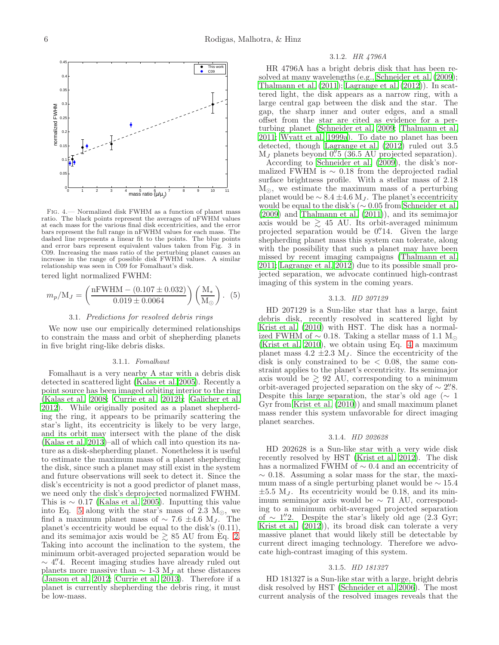

<span id="page-5-0"></span>Fig. 4.— Normalized disk FWHM as a function of planet mass ratio. The black points represent the averages of nFWHM values at each mass for the various final disk eccentricities, and the error bars represent the full range in nFWHM values for each mass. The dashed line represents a linear fit to the points. The blue points and error bars represent equivalent values taken from Fig. 3 in C09. Increasing the mass ratio of the perturbing planet causes an increase in the range of possible disk FWHM values. A similar relationship was seen in C09 for Fomalhaut's disk.

tered light normalized FWHM:

<span id="page-5-1"></span>
$$
m_p/\text{M}_J = \left(\frac{\text{nFWHM} - (0.107 \pm 0.032)}{0.019 \pm 0.0064}\right) \left(\frac{\text{M}_*}{\text{M}_\odot}\right). (5)
$$

## 3.1. Predictions for resolved debris rings

We now use our empirically determined relationships to constrain the mass and orbit of shepherding planets in five bright ring-like debris disks.

### 3.1.1. Fomalhaut

Fomalhaut is a very nearby A star with a debris disk detected in scattered light [\(Kalas et al. 2005\)](#page-9-20). Recently a point source has been imaged orbiting interior to the ring [\(Kalas et al. 2008;](#page-9-2) [Currie et al. 2012b;](#page-9-21) [Galicher et al.](#page-9-4) [2012\)](#page-9-4). While originally posited as a planet shepherding the ring, it appears to be primarily scattering the star's light, its eccentricity is likely to be very large, and its orbit may intersect with the plane of the disk [\(Kalas et al. 2013\)](#page-9-5)–all of which call into question its nature as a disk-shepherding planet. Nonetheless it is useful to estimate the maximum mass of a planet shepherding the disk, since such a planet may still exist in the system and future observations will seek to detect it. Since the disk's eccentricity is not a good predictor of planet mass, we need only the disk's deprojected normalized FWHM. This is  $\sim 0.17$  [\(Kalas et al. 2005](#page-9-20)). Inputting this value into Eq. [5](#page-5-1) along with the star's mass of 2.3  $M_{\odot}$ , we find a maximum planet mass of  $\sim 7.6 \pm 4.6$  M<sub>J</sub>. The planet's eccentricity would be equal to the disk's (0.11), and its semimajor axis would be  $\geq 85$  AU from Eq. [2.](#page-2-2) Taking into account the inclination to the system, the minimum orbit-averaged projected separation would be  $\sim$  4". Recent imaging studies have already ruled out planets more massive than  $\sim$  1-3 M<sub>J</sub> at these distances [\(Janson et al. 2012;](#page-9-22) [Currie et al. 2013](#page-9-23)). Therefore if a planet is currently shepherding the debris ring, it must be low-mass.

### 3.1.2. HR 4796A

HR 4796A has a bright debris disk that has been resolved at many wavelengths (e.g., [Schneider et al. \(2009](#page-9-24)); [Thalmann et al. \(2011](#page-9-25)); [Lagrange et al. \(2012](#page-9-26))). In scattered light, the disk appears as a narrow ring, with a large central gap between the disk and the star. The gap, the sharp inner and outer edges, and a small offset from the star are cited as evidence for a perturbing planet [\(Schneider et al. 2009;](#page-9-24) [Thalmann et al.](#page-9-25) [2011;](#page-9-25) [Wyatt et al. 1999a\)](#page-9-8). To date no planet has been detected, though [Lagrange et al. \(2012\)](#page-9-26) ruled out 3.5  $M_J$  planets beyond  $0\rlap.{''}5$  (36.5 AU projected separation).

According to [Schneider et al. \(2009\)](#page-9-24), the disk's normalized FWHM is  $\sim$  0.18 from the deprojected radial surface brightness profile. With a stellar mass of 2.18 M⊙, we estimate the maximum mass of a perturbing planet would be  $\sim 8.4 \pm 4.6$  M<sub>J</sub>. The planet's eccentricity would be equal to the disk's ( $\sim 0.05$  from [Schneider et al.](#page-9-24) [\(2009\)](#page-9-24) and [Thalmann et al. \(2011\)](#page-9-25)), and its semimajor axis would be  $\geq$  45 AU. Its orbit-averaged minimum projected separation would be 0.'14. Given the large shepherding planet mass this system can tolerate, along with the possibility that such a planet may have been missed by recent imaging campaigns [\(Thalmann et al.](#page-9-25) [2011;](#page-9-25) [Lagrange et al. 2012\)](#page-9-26) due to its possible small projected separation, we advocate continued high-contrast imaging of this system in the coming years.

### 3.1.3. HD 207129

HD 207129 is a Sun-like star that has a large, faint debris disk, recently resolved in scattered light by [Krist et al. \(2010\)](#page-9-27) with HST. The disk has a normalized FWHM of  $\sim$  0.18. Taking a stellar mass of 1.1 M<sub>☉</sub> [\(Krist et al. 2010](#page-9-27)), we obtain using Eq. [4](#page-4-3) a maximum planet mass  $4.2 \pm 2.3$  M<sub>J</sub>. Since the eccentricity of the disk is only constrained to be  $\langle 0.08, 10.08 \rangle$ straint applies to the planet's eccentricity. Its semimajor axis would be  $\geq 92$  AU, corresponding to a minimum orbit-averaged projected separation on the sky of  $\sim$  2"8. Despite this large separation, the star's old age ( $\sim 1$ ) Gyr from [Krist et al. \(2010\)](#page-9-27)) and small maximum planet mass render this system unfavorable for direct imaging planet searches.

#### 3.1.4. HD 202628

HD 202628 is a Sun-like star with a very wide disk recently resolved by HST [\(Krist et al. 2012\)](#page-9-28). The disk has a normalized FWHM of ∼ 0.4 and an eccentricity of  $\sim$  0.18. Assuming a solar mass for the star, the maximum mass of a single perturbing planet would be  $\sim$  15.4  $\pm 5.5$  M<sub>J</sub>. Its eccentricity would be 0.18, and its minimum semimajor axis would be ∼ 71 AU, corresponding to a minimum orbit-averaged projected separation of ∼ 1.''2. Despite the star's likely old age  $(2.3 \text{ Gyr};$ [Krist et al. \(2012\)](#page-9-28)), its broad disk can tolerate a very massive planet that would likely still be detectable by current direct imaging technology. Therefore we advocate high-contrast imaging of this system.

#### 3.1.5. HD 181327

HD 181327 is a Sun-like star with a large, bright debris disk resolved by HST [\(Schneider et al. 2006\)](#page-9-29). The most current analysis of the resolved images reveals that the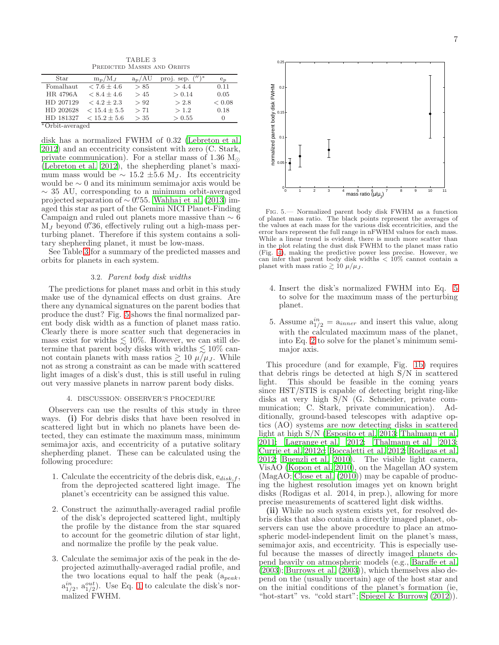TABLE 3 PREDICTED MASSES AND ORBITS

<span id="page-6-1"></span>

| Star      | $m_p/M_I$        | $a_n/AU$ | proj. sep. $('')$ | $e_n$            |
|-----------|------------------|----------|-------------------|------------------|
| Fomalhaut | $< 7.6 \pm 4.6$  | > 85     | > 4.4             | 0.11             |
| HR 4796A  | $< 8.4 \pm 4.6$  | >45      | > 0.14            | 0.05             |
| HD 207129 | $< 4.2 \pm 2.3$  | > 92     | > 2.8             | ${}_{< 0.08}$    |
| HD 202628 | $< 15.4 \pm 5.5$ | > 71     | >1.2              | 0.18             |
| HD 181327 | $< 15.2 \pm 5.6$ | >35      | > 0.55            | $\left( \right)$ |
|           |                  |          |                   |                  |

<sup>∗</sup>Orbit-averaged

disk has a normalized FWHM of 0.32 [\(Lebreton et al.](#page-9-30) [2012\)](#page-9-30) and an eccentricity consistent with zero (C. Stark, private communication). For a stellar mass of 1.36  $M_{\odot}$ [\(Lebreton et al. 2012\)](#page-9-30), the shepherding planet's maximum mass would be  $\sim 15.2 \pm 5.6$  M<sub>J</sub>. Its eccentricity would be ∼ 0 and its minimum semimajor axis would be  $\sim$  35 AU, corresponding to a minimum orbit-averaged projected separation of  $\sim$  0''55. [Wahhaj et al. \(2013\)](#page-9-31) imaged this star as part of the Gemini NICI Planet-Finding Campaign and ruled out planets more massive than  $\sim 6$  $M_J$  beyond 0.'36, effectively ruling out a high-mass perturbing planet. Therefore if this system contains a solitary shepherding planet, it must be low-mass.

See Table [3](#page-6-1) for a summary of the predicted masses and orbits for planets in each system.

## 3.2. Parent body disk widths

The predictions for planet mass and orbit in this study make use of the dynamical effects on dust grains. Are there any dynamical signatures on the parent bodies that produce the dust? Fig. [5](#page-6-2) shows the final normalized parent body disk width as a function of planet mass ratio. Clearly there is more scatter such that degeneracies in mass exist for widths  $\lesssim 10\%$ . However, we can still determine that parent body disks with widths  $\lesssim 10\%$  cannot contain planets with mass ratios  $\gtrsim 10 \mu/\mu_J$ . While not as strong a constraint as can be made with scattered light images of a disk's dust, this is still useful in ruling out very massive planets in narrow parent body disks.

## 4. DISCUSSION: OBSERVER'S PROCEDURE

<span id="page-6-0"></span>Observers can use the results of this study in three ways. (i) For debris disks that have been resolved in scattered light but in which no planets have been detected, they can estimate the maximum mass, minimum semimajor axis, and eccentricity of a putative solitary shepherding planet. These can be calculated using the following procedure:

- 1. Calculate the eccentricity of the debris disk,  $e_{disk,f}$ , from the deprojected scattered light image. The planet's eccentricity can be assigned this value.
- 2. Construct the azimuthally-averaged radial profile of the disk's deprojected scattered light, multiply the profile by the distance from the star squared to account for the geometric dilution of star light, and normalize the profile by the peak value.
- 3. Calculate the semimajor axis of the peak in the deprojected azimuthally-averaged radial profile, and the two locations equal to half the peak  $(a_{peak},$  $a_{1/2}^{in}$ ,  $a_{1/2}^{out}$ ). Use Eq. [1](#page-1-2) to calculate the disk's normalized FWHM.



<span id="page-6-2"></span>Fig. 5.— Normalized parent body disk FWHM as a function of planet mass ratio. The black points represent the averages of the values at each mass for the various disk eccentricities, and the error bars represent the full range in nFWHM values for each mass. While a linear trend is evident, there is much more scatter than in the plot relating the dust disk FWHM to the planet mass ratio (Fig. [4\)](#page-5-0), making the predictive power less precise. However, we can infer that parent body disk widths  $< 10\%$  cannot contain a planet with mass ratio  $\gtrsim 10 \ \mu/\mu_J$ .

- 4. Insert the disk's normalized FWHM into Eq. [5](#page-5-1) to solve for the maximum mass of the perturbing planet.
- 5. Assume  $a_{1/2}^{in} = a_{inner}$  and insert this value, along with the calculated maximum mass of the planet, into Eq. [2](#page-2-2) to solve for the planet's minimum semimajor axis.

This procedure (and for example, Fig. [1b\)](#page-3-1) requires that debris rings be detected at high S/N in scattered light. This should be feasible in the coming years since HST/STIS is capable of detecting bright ring-like disks at very high S/N (G. Schneider, private communication; C. Stark, private communication). Additionally, ground-based telescopes with adaptive optics (AO) systems are now detecting disks in scattered light at high S/N [\(Esposito et al. 2013;](#page-9-32) [Thalmann et al.](#page-9-25) [2011;](#page-9-25) [Lagrange et al. 2012;](#page-9-26) [Thalmann et al. 2013](#page-9-33); [Currie et al. 2012c](#page-9-34); [Boccaletti et al. 2012;](#page-9-35) [Rodigas et al.](#page-9-36) [2012;](#page-9-36) [Buenzli et al. 2010\)](#page-9-37). The visible light camera, VisAO [\(Kopon et al. 2010](#page-9-38)), on the Magellan AO system (MagAO; [Close et al. \(2010\)](#page-9-39)) may be capable of producing the highest resolution images yet on known bright disks (Rodigas et al. 2014, in prep.), allowing for more precise measurements of scattered light disk widths.

(ii) While no such system exists yet, for resolved debris disks that also contain a directly imaged planet, observers can use the above procedure to place an atmospheric model-independent limit on the planet's mass, semimajor axis, and eccentricity. This is especially useful because the masses of directly imaged planets depend heavily on atmospheric models (e.g., [Baraffe et al.](#page-9-40)  $(2003)$ ; Burrows et al.  $(2003)$ , which themselves also depend on the (usually uncertain) age of the host star and on the initial conditions of the planet's formation (ie, "hot-start" vs. "cold start"; [Spiegel & Burrows \(2012\)](#page-9-42)).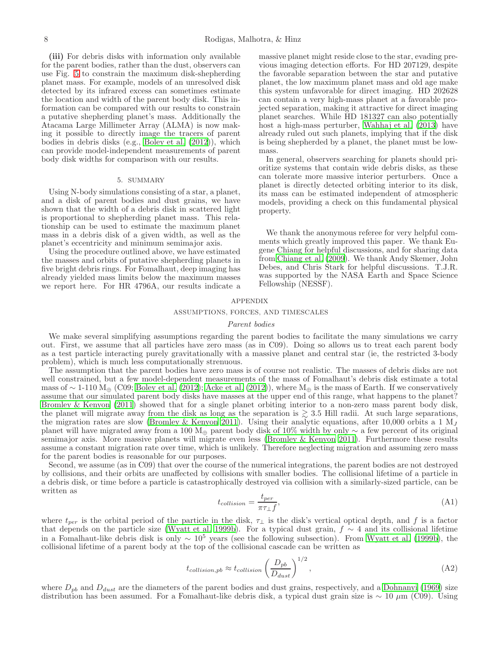(iii) For debris disks with information only available for the parent bodies, rather than the dust, observers can use Fig. [5](#page-6-2) to constrain the maximum disk-shepherding planet mass. For example, models of an unresolved disk detected by its infrared excess can sometimes estimate the location and width of the parent body disk. This information can be compared with our results to constrain a putative shepherding planet's mass. Additionally the Atacama Large Millimeter Array (ALMA) is now making it possible to directly image the tracers of parent bodies in debris disks (e.g., [Boley et al. \(2012\)](#page-9-12)), which can provide model-independent measurements of parent body disk widths for comparison with our results.

### 5. SUMMARY

Using N-body simulations consisting of a star, a planet, and a disk of parent bodies and dust grains, we have shown that the width of a debris disk in scattered light is proportional to shepherding planet mass. This relationship can be used to estimate the maximum planet mass in a debris disk of a given width, as well as the planet's eccentricity and minimum semimajor axis.

Using the procedure outlined above, we have estimated the masses and orbits of putative shepherding planets in five bright debris rings. For Fomalhaut, deep imaging has already yielded mass limits below the maximum masses we report here. For HR 4796A, our results indicate a massive planet might reside close to the star, evading previous imaging detection efforts. For HD 207129, despite the favorable separation between the star and putative planet, the low maximum planet mass and old age make this system unfavorable for direct imaging. HD 202628 can contain a very high-mass planet at a favorable projected separation, making it attractive for direct imaging planet searches. While HD 181327 can also potentially host a high-mass perturber, [Wahhaj et al. \(2013\)](#page-9-31) have already ruled out such planets, implying that if the disk is being shepherded by a planet, the planet must be lowmass.

In general, observers searching for planets should prioritize systems that contain wide debris disks, as these can tolerate more massive interior perturbers. Once a planet is directly detected orbiting interior to its disk, its mass can be estimated independent of atmospheric models, providing a check on this fundamental physical property.

We thank the anonymous referee for very helpful comments which greatly improved this paper. We thank Eugene Chiang for helpful discussions, and for sharing data from [Chiang et al. \(2009\)](#page-9-7). We thank Andy Skemer, John Debes, and Chris Stark for helpful discussions. T.J.R. was supported by the NASA Earth and Space Science Fellowship (NESSF).

### APPENDIX

## ASSUMPTIONS, FORCES, AND TIMESCALES

#### Parent bodies

We make several simplifying assumptions regarding the parent bodies to facilitate the many simulations we carry out. First, we assume that all particles have zero mass (as in C09). Doing so allows us to treat each parent body as a test particle interacting purely gravitationally with a massive planet and central star (ie, the restricted 3-body problem), which is much less computationally strenuous.

The assumption that the parent bodies have zero mass is of course not realistic. The masses of debris disks are not well constrained, but a few model-dependent measurements of the mass of Fomalhaut's debris disk estimate a total mass of ~ 1-110  $\rm M_{\oplus}$  (C09; [Boley et al. \(2012](#page-9-12)); [Acke et al. \(2012\)](#page-9-43)), where  $\rm M_{\oplus}$  is the mass of Earth. If we conservatively assume that our simulated parent body disks have masses at the upper end of this range, what happens to the planet? [Bromley & Kenyon \(2011](#page-9-18)) showed that for a single planet orbiting interior to a non-zero mass parent body disk, the planet will migrate away from the disk as long as the separation is  $\geq 3.5$  Hill radii. At such large separations, the migration rates are slow [\(Bromley & Kenyon 2011\)](#page-9-18). Using their analytic equations, after 10,000 orbits a 1  $M_J$ planet will have migrated away from a 100 M<sup>⊕</sup> parent body disk of 10% width by only ∼ a few percent of its original semimajor axis. More massive planets will migrate even less [\(Bromley &](#page-9-18) Kenyon [2011\)](#page-9-18). Furthermore these results assume a constant migration rate over time, which is unlikely. Therefore neglecting migration and assuming zero mass for the parent bodies is reasonable for our purposes.

Second, we assume (as in C09) that over the course of the numerical integrations, the parent bodies are not destroyed by collisions, and their orbits are unaffected by collisions with smaller bodies. The collisional lifetime of a particle in a debris disk, or time before a particle is catastrophically destroyed via collision with a similarly-sized particle, can be written as

<span id="page-7-1"></span>
$$
t_{collision} = \frac{t_{per}}{\pi \tau_{\perp} f}, \tag{A1}
$$

where  $t_{per}$  is the orbital period of the particle in the disk,  $\tau_{\perp}$  is the disk's vertical optical depth, and f is a factor that depends on the particle size [\(Wyatt et al. 1999b\)](#page-9-44). For a typical dust grain,  $f \sim 4$  and its collisional lifetime in a Fomalhaut-like debris disk is only  $\sim 10^5$  years (see the following subsection). From [Wyatt et al. \(1999b](#page-9-44)), the collisional lifetime of a parent body at the top of the collisional cascade can be written as

<span id="page-7-0"></span>
$$
t_{collision, pb} \approx t_{collision} \left(\frac{D_{pb}}{D_{dust}}\right)^{1/2},\tag{A2}
$$

where  $D_{pb}$  and  $D_{dust}$  are the diameters of the parent bodies and dust grains, respectively, and a [Dohnanyi \(1969\)](#page-9-19) size distribution has been assumed. For a Fomalhaut-like debris disk, a typical dust grain size is  $\sim 10 \mu m$  (C09). Using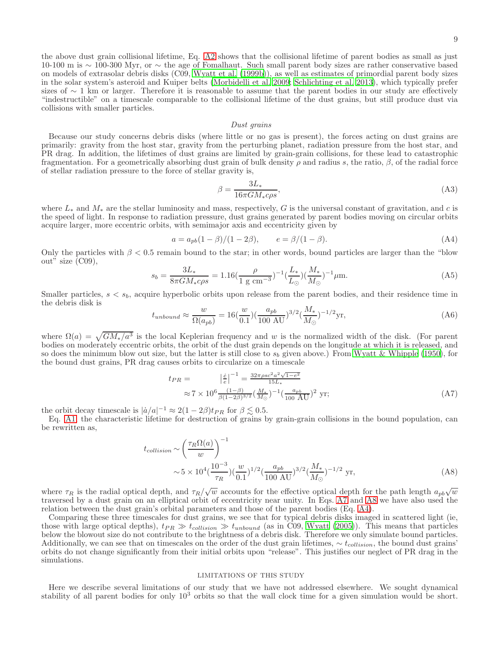the above dust grain collisional lifetime, Eq. [A2](#page-7-0) shows that the collisional lifetime of parent bodies as small as just 10-100 m is ∼ 100-300 Myr, or ∼ the age of Fomalhaut. Such small parent body sizes are rather conservative based on models of extrasolar debris disks (C09, [Wyatt et al. \(1999b\)](#page-9-44)), as well as estimates of primordial parent body sizes in the solar system's asteroid and Kuiper belts [\(Morbidelli et al. 2009;](#page-9-45) [Schlichting et al. 2013\)](#page-9-46), which typically prefer sizes of ∼ 1 km or larger. Therefore it is reasonable to assume that the parent bodies in our study are effectively "indestructible" on a timescale comparable to the collisional lifetime of the dust grains, but still produce dust via collisions with smaller particles.

### Dust grains

Because our study concerns debris disks (where little or no gas is present), the forces acting on dust grains are primarily: gravity from the host star, gravity from the perturbing planet, radiation pressure from the host star, and PR drag. In addition, the lifetimes of dust grains are limited by grain-grain collisions, for these lead to catastrophic fragmentation. For a geometrically absorbing dust grain of bulk density  $\rho$  and radius s, the ratio,  $\beta$ , of the radial force of stellar radiation pressure to the force of stellar gravity is,

$$
\beta = \frac{3L_*}{16\pi GM_* c\rho s},\tag{A3}
$$

where  $L_*$  and  $M_*$  are the stellar luminosity and mass, respectively, G is the universal constant of gravitation, and c is the speed of light. In response to radiation pressure, dust grains generated by parent bodies moving on circular orbits acquire larger, more eccentric orbits, with semimajor axis and eccentricity given by

<span id="page-8-2"></span>
$$
a = a_{pb}(1 - \beta)/(1 - 2\beta), \qquad e = \beta/(1 - \beta). \tag{A4}
$$

Only the particles with  $\beta$  < 0.5 remain bound to the star; in other words, bound particles are larger than the "blow out" size (C09),

$$
s_b = \frac{3L_*}{8\pi GM_* c\rho s} = 1.16 \left(\frac{\rho}{1 \text{ g cm}^{-3}}\right)^{-1} \left(\frac{L_*}{L_{\odot}}\right) \left(\frac{M_*}{M_{\odot}}\right)^{-1} \mu \text{m}.
$$
 (A5)

Smaller particles,  $s < s<sub>b</sub>$ , acquire hyperbolic orbits upon release from the parent bodies, and their residence time in the debris disk is

$$
t_{unbound} \approx \frac{w}{\Omega(a_{pb})} = 16(\frac{w}{0.1})(\frac{a_{pb}}{100 \text{ AU}})^{3/2}(\frac{M_*}{M_{\odot}})^{-1/2}\text{yr},\tag{A6}
$$

where  $\Omega(a) = \sqrt{GM_*/a^3}$  is the local Keplerian frequency and w is the normalized width of the disk. (For parent bodies on moderately eccentric orbits, the orbit of the dust grain depends on the longitude at which it is released, and so does the minimum blow out size, but the latter is still close to  $s<sub>b</sub>$  given above.) From [Wyatt & Whipple \(1950](#page-9-13)), for the bound dust grains, PR drag causes orbits to circularize on a timescale

<span id="page-8-1"></span>
$$
t_{PR} = \left| \frac{\dot{e}}{e} \right|^{-1} = \frac{32\pi\rho sc^2 a^2 \sqrt{1 - e^2}}{15L_*} \n\approx 7 \times 10^6 \frac{(1 - \beta)}{\beta (1 - 2\beta)^{3/2}} \left( \frac{M_*}{M_\odot} \right)^{-1} \left( \frac{a_{pb}}{100 \text{ AU}} \right)^2 \text{ yr};
$$
\n(A7)

the orbit decay timescale is  $|a/a|^{-1} \approx 2(1-2\beta)t_{PR}$  for  $\beta \lesssim 0.5$ .

Eq. [A1,](#page-7-1) the characteristic lifetime for destruction of grains by grain-grain collisions in the bound population, can be rewritten as,

<span id="page-8-0"></span>
$$
t_{collision} \sim \left(\frac{\tau_R \Omega(a)}{w}\right)^{-1} \sim 5 \times 10^4 \left(\frac{10^{-3}}{\tau_R}\right) \left(\frac{w}{0.1}\right)^{1/2} \left(\frac{a_{pb}}{100 \text{ AU}}\right)^{3/2} \left(\frac{M_*}{M_\odot}\right)^{-1/2} \text{ yr},\tag{A8}
$$

where  $\tau_R$  is the radial optical depth, and  $\tau_R/\sqrt{w}$  accounts for the effective optical depth for the path length  $a_{pb}\sqrt{w}$ traversed by a dust grain on an elliptical orbit of eccentricity near unity. In Eqs. [A7](#page-8-1) and [A8](#page-8-0) we have also used the relation between the dust grain's orbital parameters and those of the parent bodies (Eq. [A4\)](#page-8-2).

Comparing these three timescales for dust grains, we see that for typical debris disks imaged in scattered light (ie, those with large optical depths),  $t_{PR} \gg t_{collision} \gg t_{unbound}$  (as in C09, [Wyatt \(2005\)](#page-9-47)). This means that particles below the blowout size do not contribute to the brightness of a debris disk. Therefore we only simulate bound particles. Additionally, we can see that on timescales on the order of the dust grain lifetimes,  $\sim t_{collision}$ , the bound dust grains' orbits do not change significantly from their initial orbits upon "release". This justifies our neglect of PR drag in the simulations.

#### LIMITATIONS OF THIS STUDY

Here we describe several limitations of our study that we have not addressed elsewhere. We sought dynamical stability of all parent bodies for only  $10<sup>3</sup>$  orbits so that the wall clock time for a given simulation would be short.